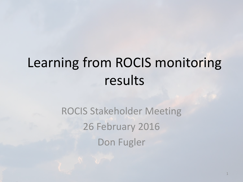# Learning from ROCIS monitoring results

ROCIS Stakeholder Meeting 26 February 2016 Don Fugler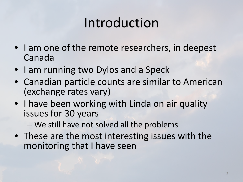# Introduction

- I am one of the remote researchers, in deepest Canada
- I am running two Dylos and a Speck
- Canadian particle counts are similar to American (exchange rates vary)
- I have been working with Linda on air quality issues for 30 years

– We still have not solved all the problems

• These are the most interesting issues with the monitoring that I have seen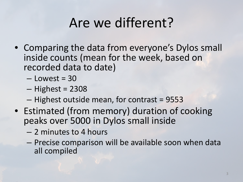# Are we different?

- Comparing the data from everyone's Dylos small inside counts (mean for the week, based on recorded data to date)
	- $-$  Lowest = 30
	- $-$  Highest = 2308
	- Highest outside mean, for contrast = 9553
- Estimated (from memory) duration of cooking peaks over 5000 in Dylos small inside
	- 2 minutes to 4 hours
	- Precise comparison will be available soon when data all compiled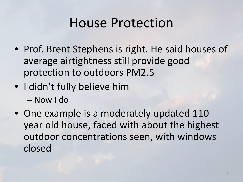## House Protection

- Prof. Brent Stephens is right. He said houses of average airtightness still provide good protection to outdoors PM2.5
- I didn't fully believe him – Now I do
- One example is a moderately updated 110 year old house, faced with about the highest outdoor concentrations seen, with windows closed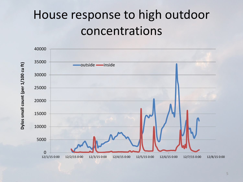## House response to high outdoor concentrations

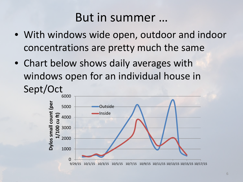### But in summer …

- With windows wide open, outdoor and indoor concentrations are pretty much the same
- Chart below shows daily averages with windows open for an individual house in

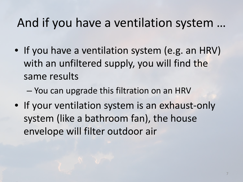### And if you have a ventilation system …

- If you have a ventilation system (e.g. an HRV) with an unfiltered supply, you will find the same results
	- You can upgrade this filtration on an HRV
- If your ventilation system is an exhaust-only system (like a bathroom fan), the house envelope will filter outdoor air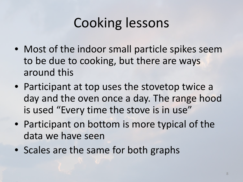# Cooking lessons

- Most of the indoor small particle spikes seem to be due to cooking, but there are ways around this
- Participant at top uses the stovetop twice a day and the oven once a day. The range hood is used "Every time the stove is in use"
- Participant on bottom is more typical of the data we have seen
- Scales are the same for both graphs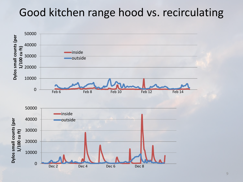#### Good kitchen range hood vs. recirculating

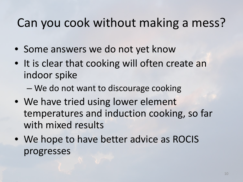### Can you cook without making a mess?

- Some answers we do not yet know
- It is clear that cooking will often create an indoor spike
	- We do not want to discourage cooking
- We have tried using lower element temperatures and induction cooking, so far with mixed results
- We hope to have better advice as ROCIS progresses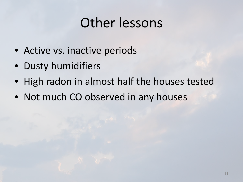## Other lessons

- Active vs. inactive periods
- Dusty humidifiers
- High radon in almost half the houses tested
- Not much CO observed in any houses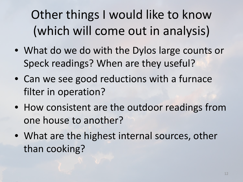Other things I would like to know (which will come out in analysis)

- What do we do with the Dylos large counts or Speck readings? When are they useful?
- Can we see good reductions with a furnace filter in operation?
- How consistent are the outdoor readings from one house to another?
- What are the highest internal sources, other than cooking?